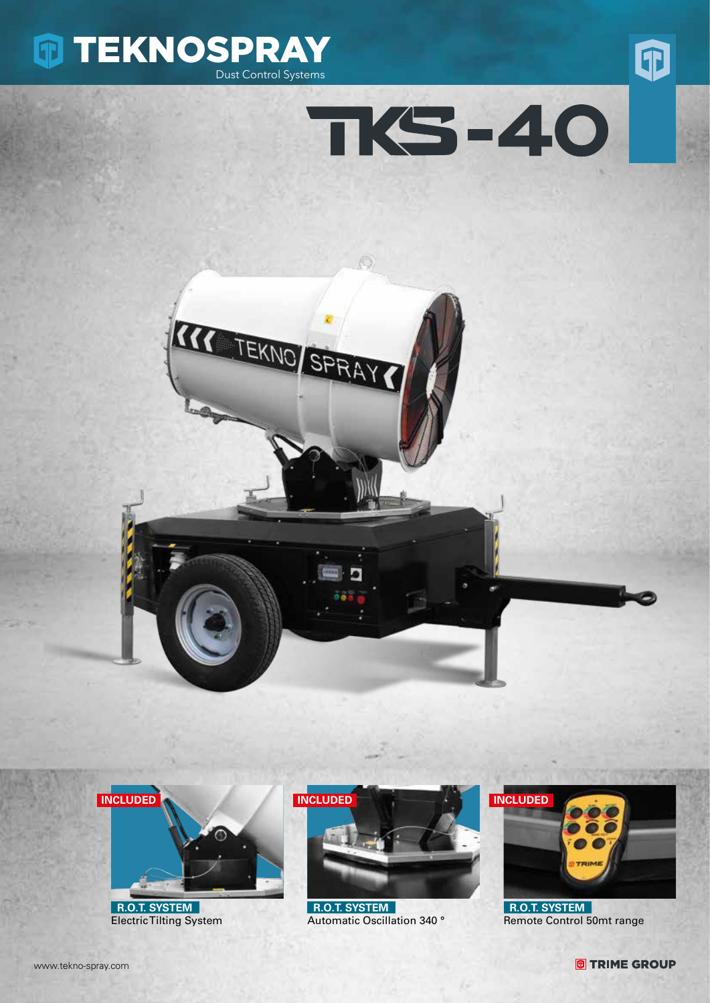









 **R.O.T. SYSTEM** Electric Tilting System



 **R.O.T. SYSTEM** Automatic Oscillation 340 °



 **R.O.T. SYSTEM** Remote Control 50mt range